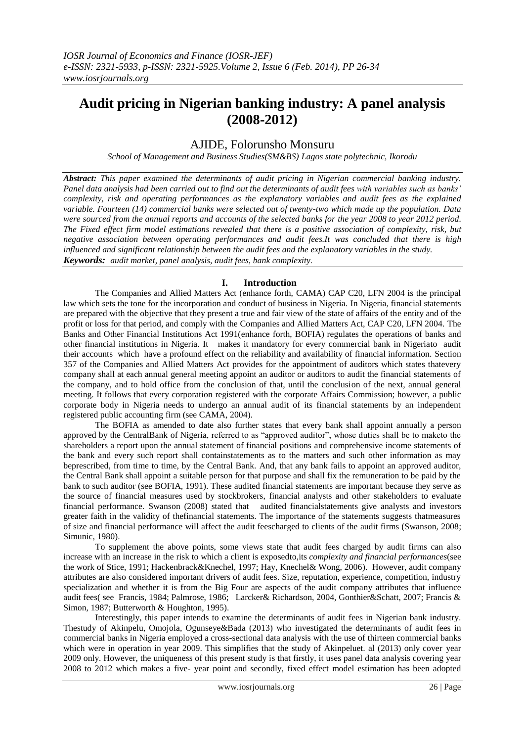# **Audit pricing in Nigerian banking industry: A panel analysis (2008-2012)**

# AJIDE, Folorunsho Monsuru

*School of Management and Business Studies(SM&BS) Lagos state polytechnic, Ikorodu*

*Abstract: This paper examined the determinants of audit pricing in Nigerian commercial banking industry. Panel data analysis had been carried out to find out the determinants of audit fees with variables such as banks' complexity, risk and operating performances as the explanatory variables and audit fees as the explained variable. Fourteen (14) commercial banks were selected out of twenty-two which made up the population. Data were sourced from the annual reports and accounts of the selected banks for the year 2008 to year 2012 period. The Fixed effect firm model estimations revealed that there is a positive association of complexity, risk, but negative association between operating performances and audit fees.It was concluded that there is high influenced and significant relationship between the audit fees and the explanatory variables in the study. Keywords: audit market, panel analysis, audit fees, bank complexity.*

# **I. Introduction**

The Companies and Allied Matters Act (enhance forth, CAMA) CAP C20, LFN 2004 is the principal law which sets the tone for the incorporation and conduct of business in Nigeria. In Nigeria, financial statements are prepared with the objective that they present a true and fair view of the state of affairs of the entity and of the profit or loss for that period, and comply with the Companies and Allied Matters Act, CAP C20, LFN 2004. The Banks and Other Financial Institutions Act 1991(enhance forth, BOFIA) regulates the operations of banks and other financial institutions in Nigeria. It makes it mandatory for every commercial bank in Nigeriato audit their accounts which have a profound effect on the reliability and availability of financial information. Section 357 of the Companies and Allied Matters Act provides for the appointment of auditors which states thatevery company shall at each annual general meeting appoint an auditor or auditors to audit the financial statements of the company, and to hold office from the conclusion of that, until the conclusion of the next, annual general meeting. It follows that every corporation registered with the corporate Affairs Commission; however, a public corporate body in Nigeria needs to undergo an annual audit of its financial statements by an independent registered public accounting firm (see CAMA, 2004).

The BOFIA as amended to date also further states that every bank shall appoint annually a person approved by the CentralBank of Nigeria, referred to as "approved auditor", whose duties shall be to maketo the shareholders a report upon the annual statement of financial positions and comprehensive income statements of the bank and every such report shall containstatements as to the matters and such other information as may beprescribed, from time to time, by the Central Bank. And, that any bank fails to appoint an approved auditor, the Central Bank shall appoint a suitable person for that purpose and shall fix the remuneration to be paid by the bank to such auditor (see BOFIA, 1991). These audited financial statements are important because they serve as the source of financial measures used by stockbrokers, financial analysts and other stakeholders to evaluate financial performance. Swanson (2008) stated that audited financialstatements give analysts and investors greater faith in the validity of thefinancial statements. The importance of the statements suggests thatmeasures of size and financial performance will affect the audit feescharged to clients of the audit firms (Swanson, 2008; Simunic, 1980).

To supplement the above points, some views state that audit fees charged by audit firms can also increase with an increase in the risk to which a client is exposedto,its *complexity and financial performances*(see the work of Stice, 1991; Hackenbrack&Knechel, 1997; Hay, Knechel& Wong, 2006). However, audit company attributes are also considered important drivers of audit fees. Size, reputation, experience, competition, industry specialization and whether it is from the Big Four are aspects of the audit company attributes that influence audit fees( see Francis, 1984; Palmrose, 1986; Larcker& Richardson, 2004, Gonthier&Schatt, 2007; Francis & Simon, 1987; Butterworth & Houghton, 1995).

Interestingly, this paper intends to examine the determinants of audit fees in Nigerian bank industry. Thestudy of Akinpelu, Omojola, Ogunseye&Bada (2013) who investigated the determinants of audit fees in commercial banks in Nigeria employed a cross-sectional data analysis with the use of thirteen commercial banks which were in operation in year 2009. This simplifies that the study of Akinpeluet. al (2013) only cover year 2009 only. However, the uniqueness of this present study is that firstly, it uses panel data analysis covering year 2008 to 2012 which makes a five- year point and secondly, fixed effect model estimation has been adopted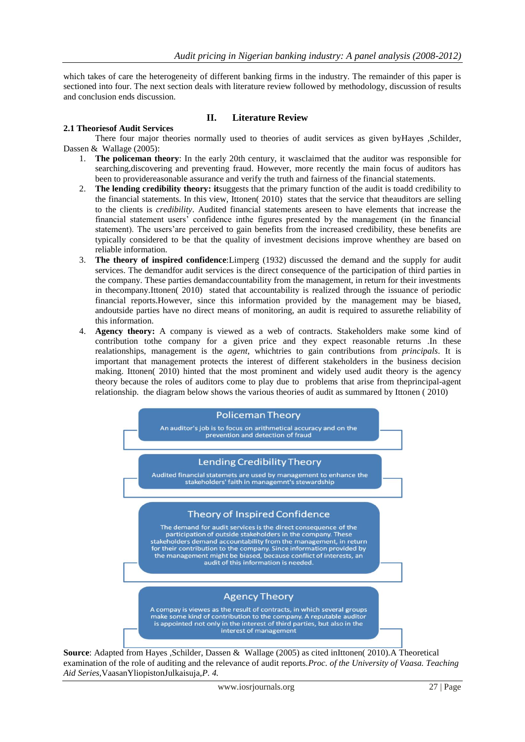which takes of care the heterogeneity of different banking firms in the industry. The remainder of this paper is sectioned into four. The next section deals with literature review followed by methodology, discussion of results and conclusion ends discussion.

### **II. Literature Review**

#### **2.1 Theoriesof Audit Services**

There four major theories normally used to theories of audit services as given byHayes ,Schilder, Dassen & Wallage (2005):

- 1. **The policeman theory**: In the early 20th century, it wasclaimed that the auditor was responsible for searching,discovering and preventing fraud. However, more recently the main focus of auditors has been to providereasonable assurance and verify the truth and fairness of the financial statements.
- 2. **The lending credibility theory: it**suggests that the primary function of the audit is toadd credibility to the financial statements. In this view, Ittonen( 2010) states that the service that theauditors are selling to the clients is *credibility*. Audited financial statements areseen to have elements that increase the financial statement users" confidence inthe figures presented by the management (in the financial statement). The users"are perceived to gain benefits from the increased credibility, these benefits are typically considered to be that the quality of investment decisions improve whenthey are based on reliable information.
- 3. **The theory of inspired confidence**:Limperg (1932) discussed the demand and the supply for audit services. The demandfor audit services is the direct consequence of the participation of third parties in the company. These parties demandaccountability from the management, in return for their investments in thecompany.Ittonen( 2010) stated that accountability is realized through the issuance of periodic financial reports.However, since this information provided by the management may be biased, andoutside parties have no direct means of monitoring, an audit is required to assurethe reliability of this information.
- 4. **Agency theory:** A company is viewed as a web of contracts. Stakeholders make some kind of contribution tothe company for a given price and they expect reasonable returns .In these realationships, management is the *agent*, whichtries to gain contributions from *principals*. It is important that management protects the interest of different stakeholders in the business decision making. Ittonen( 2010) hinted that the most prominent and widely used audit theory is the agency theory because the roles of auditors come to play due to problems that arise from theprincipal-agent relationship. the diagram below shows the various theories of audit as summared by Ittonen ( 2010)



**Source**: Adapted from Hayes ,Schilder, Dassen & Wallage (2005) as cited inIttonen( 2010).A Theoretical examination of the role of auditing and the relevance of audit reports.*Proc. of the University of Vaasa. Teaching Aid Series,*VaasanYliopistonJulkaisuja,*P. 4.*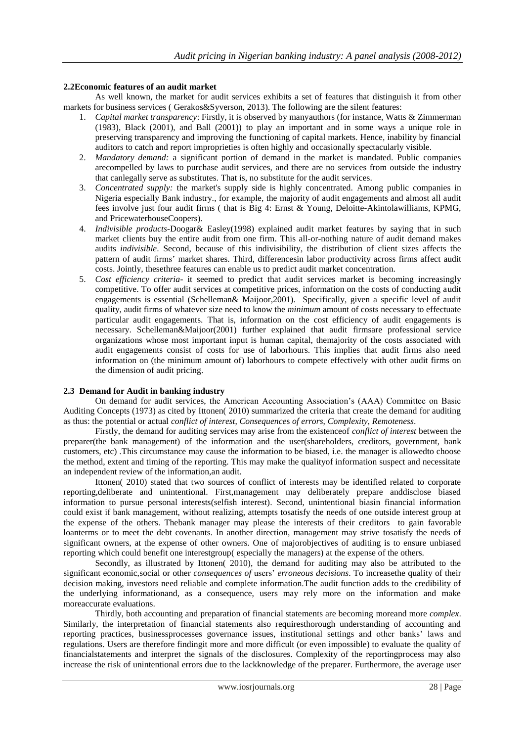### **2.2Economic features of an audit market**

As well known, the market for audit services exhibits a set of features that distinguish it from other markets for business services ( Gerakos&Syverson, 2013). The following are the silent features:

- 1. *Capital market transparency*: Firstly, it is observed by manyauthors (for instance, Watts & Zimmerman (1983), Black (2001), and Ball (2001)) to play an important and in some ways a unique role in preserving transparency and improving the functioning of capital markets. Hence, inability by financial auditors to catch and report improprieties is often highly and occasionally spectacularly visible.
- 2. *Mandatory demand:* a significant portion of demand in the market is mandated. Public companies arecompelled by laws to purchase audit services, and there are no services from outside the industry that canlegally serve as substitutes. That is, no substitute for the audit services.
- 3. *Concentrated supply:* the market's supply side is highly concentrated. Among public companies in Nigeria especially Bank industry., for example, the majority of audit engagements and almost all audit fees involve just four audit firms ( that is Big 4: Ernst & Young, Deloitte-Akintolawilliams, KPMG, and PricewaterhouseCoopers).
- 4. *Indivisible products-*Doogar& Easley(1998) explained audit market features by saying that in such market clients buy the entire audit from one firm. This all-or-nothing nature of audit demand makes audits *indivisible*. Second, because of this indivisibility, the distribution of client sizes affects the pattern of audit firms" market shares. Third, differencesin labor productivity across firms affect audit costs. Jointly, thesethree features can enable us to predict audit market concentration.
- 5. *Cost efficiency criteria* it seemed to predict that audit services market is becoming increasingly competitive. To offer audit services at competitive prices, information on the costs of conducting audit engagements is essential (Schelleman& Maijoor,2001). Specifically, given a specific level of audit quality, audit firms of whatever size need to know the *minimum* amount of costs necessary to effectuate particular audit engagements. That is, information on the cost efficiency of audit engagements is necessary. Schelleman&Maijoor(2001) further explained that audit firmsare professional service organizations whose most important input is human capital, themajority of the costs associated with audit engagements consist of costs for use of laborhours. This implies that audit firms also need information on (the minimum amount of) laborhours to compete effectively with other audit firms on the dimension of audit pricing.

#### **2.3 Demand for Audit in banking industry**

On demand for audit services, the American Accounting Association"s (AAA) Committee on Basic Auditing Concepts (1973) as cited by Ittonen( 2010) summarized the criteria that create the demand for auditing as thus: the potential or actual *conflict of interest*, *Consequence*s *of errors*, *Complexity*, *Remoteness*.

Firstly, the demand for auditing services may arise from the existenceof *conflict of interest* between the preparer(the bank management) of the information and the user(shareholders, creditors, government, bank customers, etc) .This circumstance may cause the information to be biased, i.e. the manager is allowedto choose the method, extent and timing of the reporting. This may make the qualityof information suspect and necessitate an independent review of the information,an audit.

Ittonen( 2010) stated that two sources of conflict of interests may be identified related to corporate reporting,deliberate and unintentional. First,management may deliberately prepare anddisclose biased information to pursue personal interests(selfish interest). Second, unintentional biasin financial information could exist if bank management, without realizing, attempts tosatisfy the needs of one outside interest group at the expense of the others. Thebank manager may please the interests of their creditors to gain favorable loanterms or to meet the debt covenants. In another direction, management may strive tosatisfy the needs of significant owners, at the expense of other owners. One of majorobjectives of auditing is to ensure unbiased reporting which could benefit one interestgroup( especially the managers) at the expense of the others.

Secondly, as illustrated by Ittonen( 2010), the demand for auditing may also be attributed to the significant economic,social or other *consequences of* users" *erroneous decisions*. To increasethe quality of their decision making, investors need reliable and complete information.The audit function adds to the credibility of the underlying informationand, as a consequence, users may rely more on the information and make moreaccurate evaluations.

Thirdly, both accounting and preparation of financial statements are becoming moreand more *complex*. Similarly, the interpretation of financial statements also requiresthorough understanding of accounting and reporting practices, businessprocesses governance issues, institutional settings and other banks" laws and regulations. Users are therefore findingit more and more difficult (or even impossible) to evaluate the quality of financialstatements and interpret the signals of the disclosures. Complexity of the reportingprocess may also increase the risk of unintentional errors due to the lackknowledge of the preparer. Furthermore, the average user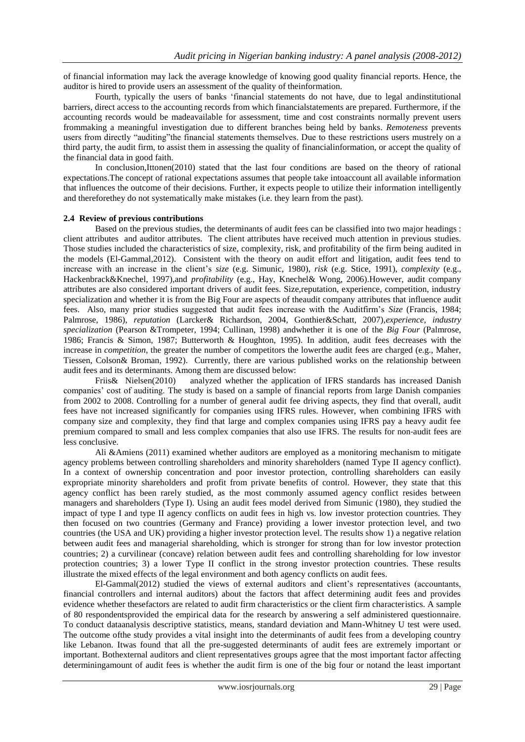of financial information may lack the average knowledge of knowing good quality financial reports. Hence, the auditor is hired to provide users an assessment of the quality of theinformation.

Fourth, typically the users of banks "financial statements do not have, due to legal andinstitutional barriers, direct access to the accounting records from which financialstatements are prepared. Furthermore, if the accounting records would be madeavailable for assessment, time and cost constraints normally prevent users frommaking a meaningful investigation due to different branches being held by banks. *Remoteness* prevents users from directly "auditing"the financial statements themselves. Due to these restrictions users mustrely on a third party, the audit firm, to assist them in assessing the quality of financialinformation, or accept the quality of the financial data in good faith.

In conclusion,Ittonen(2010) stated that the last four conditions are based on the theory of rational expectations.The concept of rational expectations assumes that people take intoaccount all available information that influences the outcome of their decisions. Further, it expects people to utilize their information intelligently and thereforethey do not systematically make mistakes (i.e. they learn from the past).

#### **2.4 Review of previous contributions**

Based on the previous studies, the determinants of audit fees can be classified into two major headings : client attributes and auditor attributes. The client attributes have received much attention in previous studies. Those studies included the characteristics of size, complexity, risk, and profitability of the firm being audited in the models (El-Gammal,2012). Consistent with the theory on audit effort and litigation, audit fees tend to increase with an increase in the client"s *size* (e.g. Simunic, 1980), *risk* (e.g. Stice, 1991), *complexity* (e.g., Hackenbrack&Knechel, 1997),and *profitability* (e.g., Hay, Knechel& Wong, 2006).However, audit company attributes are also considered important drivers of audit fees. Size,reputation, experience, competition, industry specialization and whether it is from the Big Four are aspects of theaudit company attributes that influence audit fees. Also, many prior studies suggested that audit fees increase with the Auditfirm"s *Size* (Francis, 1984; Palmrose, 1986), *reputation* (Larcker& Richardson, 2004, Gonthier&Schatt, 2007),*experience*, *industry specialization* (Pearson &Trompeter, 1994; Cullinan, 1998) andwhether it is one of the *Big Four* (Palmrose, 1986; Francis & Simon, 1987; Butterworth & Houghton, 1995). In addition, audit fees decreases with the increase in *competition*, the greater the number of competitors the lowerthe audit fees are charged (e.g., Maher, Tiessen, Colson& Broman, 1992). Currently, there are various published works on the relationship between audit fees and its determinants. Among them are discussed below:

Friis & Nielsen(2010) analyzed whether the application of IFRS standards has increased Danish companies" cost of auditing. The study is based on a sample of financial reports from large Danish companies from 2002 to 2008. Controlling for a number of general audit fee driving aspects, they find that overall, audit fees have not increased significantly for companies using IFRS rules. However, when combining IFRS with company size and complexity, they find that large and complex companies using IFRS pay a heavy audit fee premium compared to small and less complex companies that also use IFRS. The results for non-audit fees are less conclusive.

Ali &Amiens (2011) examined whether auditors are employed as a monitoring mechanism to mitigate agency problems between controlling shareholders and minority shareholders (named Type II agency conflict). In a context of ownership concentration and poor investor protection, controlling shareholders can easily expropriate minority shareholders and profit from private benefits of control. However, they state that this agency conflict has been rarely studied, as the most commonly assumed agency conflict resides between managers and shareholders (Type I). Using an audit fees model derived from Simunic (1980), they studied the impact of type I and type II agency conflicts on audit fees in high vs. low investor protection countries. They then focused on two countries (Germany and France) providing a lower investor protection level, and two countries (the USA and UK) providing a higher investor protection level. The results show 1) a negative relation between audit fees and managerial shareholding, which is stronger for strong than for low investor protection countries; 2) a curvilinear (concave) relation between audit fees and controlling shareholding for low investor protection countries; 3) a lower Type II conflict in the strong investor protection countries. These results illustrate the mixed effects of the legal environment and both agency conflicts on audit fees.

El-Gammal(2012) studied the views of external auditors and client's representatives (accountants, financial controllers and internal auditors) about the factors that affect determining audit fees and provides evidence whether thesefactors are related to audit firm characteristics or the client firm characteristics. A sample of 80 respondentsprovided the empirical data for the research by answering a self administered questionnaire. To conduct dataanalysis descriptive statistics, means, standard deviation and Mann-Whitney U test were used. The outcome ofthe study provides a vital insight into the determinants of audit fees from a developing country like Lebanon. Itwas found that all the pre-suggested determinants of audit fees are extremely important or important. Bothexternal auditors and client representatives groups agree that the most important factor affecting determiningamount of audit fees is whether the audit firm is one of the big four or notand the least important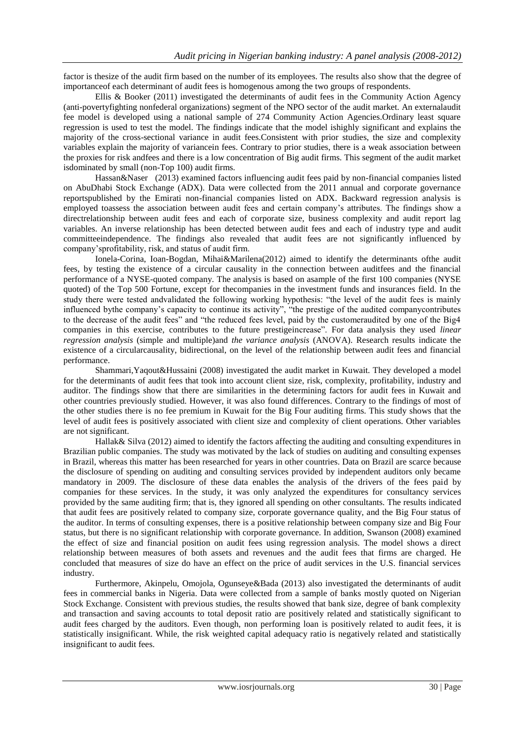factor is thesize of the audit firm based on the number of its employees. The results also show that the degree of importanceof each determinant of audit fees is homogenous among the two groups of respondents.

Ellis & Booker (2011) investigated the determinants of audit fees in the Community Action Agency (anti-povertyfighting nonfederal organizations) segment of the NPO sector of the audit market. An externalaudit fee model is developed using a national sample of 274 Community Action Agencies.Ordinary least square regression is used to test the model. The findings indicate that the model ishighly significant and explains the majority of the cross-sectional variance in audit fees.Consistent with prior studies, the size and complexity variables explain the majority of variancein fees. Contrary to prior studies, there is a weak association between the proxies for risk andfees and there is a low concentration of Big audit firms. This segment of the audit market isdominated by small (non-Top 100) audit firms.

Hassan&Naser (2013) examined factors influencing audit fees paid by non-financial companies listed on AbuDhabi Stock Exchange (ADX). Data were collected from the 2011 annual and corporate governance reportspublished by the Emirati non-financial companies listed on ADX. Backward regression analysis is employed toassess the association between audit fees and certain company"s attributes. The findings show a directrelationship between audit fees and each of corporate size, business complexity and audit report lag variables. An inverse relationship has been detected between audit fees and each of industry type and audit committeeindependence. The findings also revealed that audit fees are not significantly influenced by company"sprofitability, risk, and status of audit firm.

Ionela-Corina, Ioan-Bogdan, Mihai&Marilena(2012) aimed to identify the determinants ofthe audit fees, by testing the existence of a circular causality in the connection between auditfees and the financial performance of a NYSE-quoted company. The analysis is based on asample of the first 100 companies (NYSE quoted) of the Top 500 Fortune, except for thecompanies in the investment funds and insurances field. In the study there were tested andvalidated the following working hypothesis: "the level of the audit fees is mainly influenced bythe company"s capacity to continue its activity", "the prestige of the audited companycontributes to the decrease of the audit fees" and "the reduced fees level, paid by the customeraudited by one of the Big4 companies in this exercise, contributes to the future prestigeincrease". For data analysis they used *linear regression analysis* (simple and multiple)and *the variance analysis* (ANOVA). Research results indicate the existence of a circularcausality, bidirectional, on the level of the relationship between audit fees and financial performance.

Shammari,Yaqout&Hussaini (2008) investigated the audit market in Kuwait. They developed a model for the determinants of audit fees that took into account client size, risk, complexity, profitability, industry and auditor. The findings show that there are similarities in the determining factors for audit fees in Kuwait and other countries previously studied. However, it was also found differences. Contrary to the findings of most of the other studies there is no fee premium in Kuwait for the Big Four auditing firms. This study shows that the level of audit fees is positively associated with client size and complexity of client operations. Other variables are not significant.

Hallak& Silva (2012) aimed to identify the factors affecting the auditing and consulting expenditures in Brazilian public companies. The study was motivated by the lack of studies on auditing and consulting expenses in Brazil, whereas this matter has been researched for years in other countries. Data on Brazil are scarce because the disclosure of spending on auditing and consulting services provided by independent auditors only became mandatory in 2009. The disclosure of these data enables the analysis of the drivers of the fees paid by companies for these services. In the study, it was only analyzed the expenditures for consultancy services provided by the same auditing firm; that is, they ignored all spending on other consultants. The results indicated that audit fees are positively related to company size, corporate governance quality, and the Big Four status of the auditor. In terms of consulting expenses, there is a positive relationship between company size and Big Four status, but there is no significant relationship with corporate governance. In addition, Swanson (2008) examined the effect of size and financial position on audit fees using regression analysis. The model shows a direct relationship between measures of both assets and revenues and the audit fees that firms are charged. He concluded that measures of size do have an effect on the price of audit services in the U.S. financial services industry.

Furthermore, Akinpelu, Omojola, Ogunseye&Bada (2013) also investigated the determinants of audit fees in commercial banks in Nigeria. Data were collected from a sample of banks mostly quoted on Nigerian Stock Exchange. Consistent with previous studies, the results showed that bank size, degree of bank complexity and transaction and saving accounts to total deposit ratio are positively related and statistically significant to audit fees charged by the auditors. Even though, non performing loan is positively related to audit fees, it is statistically insignificant. While, the risk weighted capital adequacy ratio is negatively related and statistically insignificant to audit fees.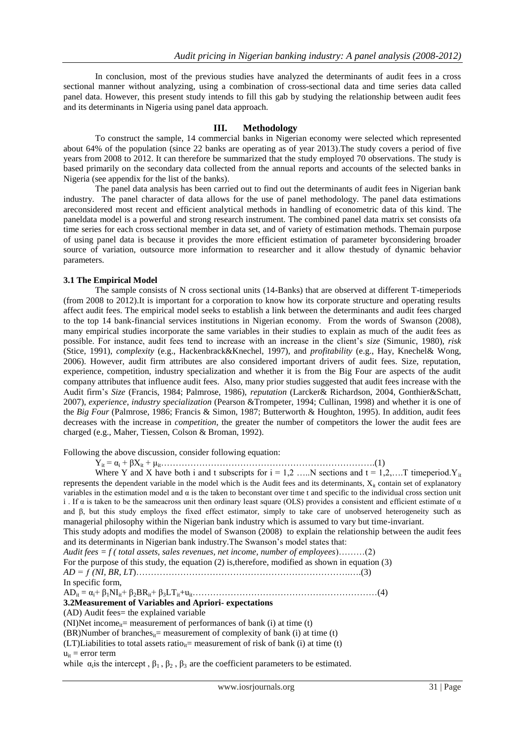In conclusion, most of the previous studies have analyzed the determinants of audit fees in a cross sectional manner without analyzing, using a combination of cross-sectional data and time series data called panel data. However, this present study intends to fill this gab by studying the relationship between audit fees and its determinants in Nigeria using panel data approach.

#### **III. Methodology**

To construct the sample, 14 commercial banks in Nigerian economy were selected which represented about 64% of the population (since 22 banks are operating as of year 2013).The study covers a period of five years from 2008 to 2012. It can therefore be summarized that the study employed 70 observations. The study is based primarily on the secondary data collected from the annual reports and accounts of the selected banks in Nigeria (see appendix for the list of the banks).

The panel data analysis has been carried out to find out the determinants of audit fees in Nigerian bank industry. The panel character of data allows for the use of panel methodology. The panel data estimations areconsidered most recent and efficient analytical methods in handling of econometric data of this kind. The paneldata model is a powerful and strong research instrument. The combined panel data matrix set consists ofa time series for each cross sectional member in data set, and of variety of estimation methods. Themain purpose of using panel data is because it provides the more efficient estimation of parameter byconsidering broader source of variation, outsource more information to researcher and it allow thestudy of dynamic behavior parameters.

#### **3.1 The Empirical Model**

The sample consists of N cross sectional units (14-Banks) that are observed at different T-timeperiods (from 2008 to 2012).It is important for a corporation to know how its corporate structure and operating results affect audit fees. The empirical model seeks to establish a link between the determinants and audit fees charged to the top 14 bank-financial services institutions in Nigerian economy. From the words of Swanson (2008), many empirical studies incorporate the same variables in their studies to explain as much of the audit fees as possible. For instance, audit fees tend to increase with an increase in the client"s *size* (Simunic, 1980), *risk*  (Stice, 1991), *complexity* (e.g., Hackenbrack&Knechel, 1997), and *profitability* (e.g., Hay, Knechel& Wong, 2006). However, audit firm attributes are also considered important drivers of audit fees. Size, reputation, experience, competition, industry specialization and whether it is from the Big Four are aspects of the audit company attributes that influence audit fees. Also, many prior studies suggested that audit fees increase with the Audit firm"s *Size* (Francis, 1984; Palmrose, 1986), *reputation* (Larcker& Richardson, 2004, Gonthier&Schatt, 2007), *experience*, *industry specialization* (Pearson &Trompeter, 1994; Cullinan, 1998) and whether it is one of the *Big Four* (Palmrose, 1986; Francis & Simon, 1987; Butterworth & Houghton, 1995). In addition, audit fees decreases with the increase in *competition*, the greater the number of competitors the lower the audit fees are charged (e.g., Maher, Tiessen, Colson & Broman, 1992).

Following the above discussion, consider following equation:

Yit = α<sup>i</sup> + βXit + μit……………………………………………………………….(1)

Where Y and X have both i and t subscripts for  $i = 1, 2, \dots N$  sections and  $t = 1, 2, \dots T$  timeperiod. Y<sub>it</sub> represents the dependent variable in the model which is the Audit fees and its determinants,  $X_{it}$  contain set of explanatory variables in the estimation model and  $\alpha$  is the taken to beconstant over time t and specific to the individual cross section unit i. If  $\alpha$  is taken to be the same across unit then ordinary least square (OLS) provides a consistent and efficient estimate of  $\alpha$ and β, but this study employs the fixed effect estimator, simply to take care of unobserved heterogeneity such as managerial philosophy within the Nigerian bank industry which is assumed to vary but time-invariant. This study adopts and modifies the model of Swanson (2008) to explain the relationship between the audit fees and its determinants in Nigerian bank industry.The Swanson"s model states that: *Audit fees = f ( total assets, sales revenues, net income, number of employees*)………(2)

For the purpose of this study, the equation (2) is,therefore, modified as shown in equation (3)

*AD = ƒ (NI, BR, LT*)……………………………………………………………….….(3)

In specific form,

ADit = αi+ β1NIit+ β2BRit+ β3LTit+uit………………………………………………………(4)

## **3.2Measurement of Variables and Apriori- expectations**

(AD) Audit fees= the explained variable

(NI)Net income<sub>it</sub>= measurement of performances of bank (i) at time (t)

```
(BR)Number of branches<sub>it</sub>= measurement of complexity of bank (i) at time (t)
```

```
(LT)Liabilities to total assets ratio_{ii}= measurement of risk of bank (i) at time (t)
```
 $u_{it}$  = error term

while  $\alpha_i$  is the intercept,  $\beta_1$ ,  $\beta_2$ ,  $\beta_3$  are the coefficient parameters to be estimated.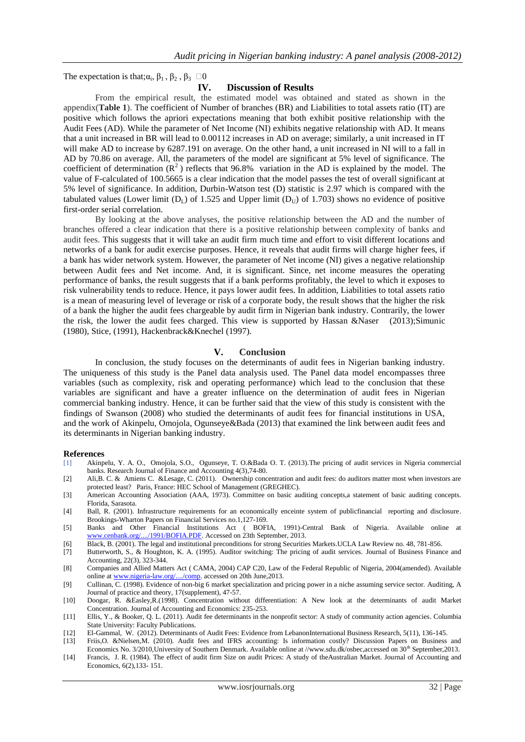The expectation is that;  $\alpha_i$ ,  $\beta_1$ ,  $\beta_2$ ,  $\beta_3$   $\square$ 0

#### **IV. Discussion of Results**

From the empirical result, the estimated model was obtained and stated as shown in the appendix(**Table 1**). The coefficient of Number of branches (BR) and Liabilities to total assets ratio (IT) are positive which follows the apriori expectations meaning that both exhibit positive relationship with the Audit Fees (AD). While the parameter of Net Income (NI) exhibits negative relationship with AD. It means that a unit increased in BR will lead to 0.00112 increases in AD on average; similarly, a unit increased in IT will make AD to increase by 6287.191 on average. On the other hand, a unit increased in NI will to a fall in AD by 70.86 on average. All, the parameters of the model are significant at 5% level of significance. The coefficient of determination  $(R^2)$  reflects that 96.8% variation in the AD is explained by the model. The value of F-calculated of 100.5665 is a clear indication that the model passes the test of overall significant at 5% level of significance. In addition, Durbin-Watson test (D) statistic is 2.97 which is compared with the tabulated values (Lower limit ( $D<sub>L</sub>$ ) of 1.525 and Upper limit ( $D<sub>L</sub>$ ) of 1.703) shows no evidence of positive first-order serial correlation.

By looking at the above analyses, the positive relationship between the AD and the number of branches offered a clear indication that there is a positive relationship between complexity of banks and audit fees. This suggests that it will take an audit firm much time and effort to visit different locations and networks of a bank for audit exercise purposes. Hence, it reveals that audit firms will charge higher fees, if a bank has wider network system. However, the parameter of Net income (NI) gives a negative relationship between Audit fees and Net income. And, it is significant. Since, net income measures the operating performance of banks, the result suggests that if a bank performs profitably, the level to which it exposes to risk vulnerability tends to reduce. Hence, it pays lower audit fees. In addition, Liabilities to total assets ratio is a mean of measuring level of leverage or risk of a corporate body, the result shows that the higher the risk of a bank the higher the audit fees chargeable by audit firm in Nigerian bank industry. Contrarily, the lower the risk, the lower the audit fees charged. This view is supported by Hassan &Naser (2013);Simunic (1980), Stice, (1991), Hackenbrack&Knechel (1997).

#### **V. Conclusion**

In conclusion, the study focuses on the determinants of audit fees in Nigerian banking industry. The uniqueness of this study is the Panel data analysis used. The Panel data model encompasses three variables (such as complexity, risk and operating performance) which lead to the conclusion that these variables are significant and have a greater influence on the determination of audit fees in Nigerian commercial banking industry. Hence, it can be further said that the view of this study is consistent with the findings of Swanson (2008) who studied the determinants of audit fees for financial institutions in USA, and the work of Akinpelu, Omojola, Ogunseye&Bada (2013) that examined the link between audit fees and its determinants in Nigerian banking industry.

#### **References**

- [1] Akinpelu, Y. A. O., Omojola, S.O., Ogunseye, T. O.&Bada O. T. (2013).The pricing of audit services in Nigeria commercial banks. Research Journal of Finance and Accounting 4(3),74-80.
- [2] Ali,B. C. & Amiens C. &Lesage, C. (2011). Ownership concentration and audit fees: do auditors matter most when investors are protected least? Paris, France: HEC School of Management (GREGHEC).
- [3] American Accounting Association (AAA, 1973). Committee on basic auditing concepts,a statement of basic auditing concepts. Florida, Sarasota.
- [4] Ball, R. (2001). Infrastructure requirements for an economically enceinte system of publicfinancial reporting and disclosure. Brookings-Wharton Papers on Financial Services no.1,127-169.
- [5] Banks and Other Financial Institutions Act ( BOFIA, 1991)-Central Bank of Nigeria. Available online at [www.cenbank.org/..../1991/BOFIA.PDF.](http://www.cenbank.org/..../1991/BOFIA.PDF) Accessed on 23th September, 2013.
- [6] Black, B. (2001). The legal and institutional preconditions for strong Securities Markets.UCLA Law Review no. 48, 781-856.
- [7] Butterworth, S., & Houghton, K. A. (1995). Auditor switching: The pricing of audit services. Journal of Business Finance and Accounting, 22(3), 323-344.
- [8] Companies and Allied Matters Act ( CAMA, 2004) CAP C20, Law of the Federal Republic of Nigeria, 2004(amended). Available online at [www.nigeria-law.org/..../comp.](http://www.nigeria-law.org/..../comp) accessed on 20th June,2013.
- [9] Cullinan, C. (1998). Evidence of non-big 6 market specialization and pricing power in a niche assuming service sector. Auditing, A Journal of practice and theory, 17(supplement), 47-57.
- [10] Doogar, R. &Easley,R.(1998). Concentration without differentiation: A New look at the determinants of audit Market Concentration. Journal of Accounting and Economics: 235-253.
- [11] Ellis, Y., & Booker, Q. L. (2011). Audit fee determinants in the nonprofit sector: A study of community action agencies. Columbia State University: Faculty Publications.
- [12] El-Gammal, W. (2012). Determinants of Audit Fees: Evidence from LebanonInternational Business Research, 5(11), 136-145.
- [13] Friis,O. &Nielsen,M. (2010). Audit fees and IFRS accounting: Is information costly? Discussion Papers on Business and Economics No. 3/2010, University of Southern Denmark. Available online at //www.sdu.dk/osbec,accessed on 30<sup>th</sup> September, 2013.
- [14] Francis, J. R. (1984). The effect of audit firm Size on audit Prices: A study of theAustralian Market. Journal of Accounting and Economics, 6(2),133- 151.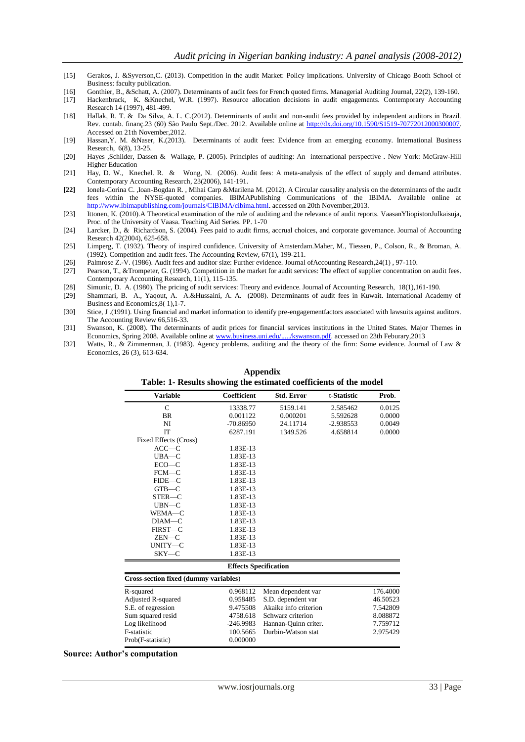- [15] Gerakos, J. &Syverson,C. (2013). Competition in the audit Market: Policy implications. University of Chicago Booth School of Business: faculty publication.
- [16] Gonthier, B., &Schatt, A. (2007). Determinants of audit fees for French quoted firms. Managerial Auditing Journal, 22(2), 139-160.
- [17] Hackenbrack, K. &Knechel, W.R. (1997). Resource allocation decisions in audit engagements. Contemporary Accounting Research 14 (1997), 481-499.
- [18] Hallak, R. T. & Da Silva, A. L. C.(2012). Determinants of audit and non-audit fees provided by independent auditors in Brazil. Rev. contab. finanç.23 (60) São Paulo Sept./Dec. 2012. Available online at [http://dx.doi.org/10.1590/S1519-70772012000300007.](http://dx.doi.org/10.1590/S1519-70772012000300007)  Accessed on 21th November,2012.
- [19] Hassan,Y. M. &Naser, K.(2013). Determinants of audit fees: Evidence from an emerging economy. International Business Research, 6(8), 13-25.
- [20] Hayes ,Schilder, Dassen & Wallage, P. (2005). Principles of auditing: An international perspective . New York: McGraw-Hill Higher Education
- [21] Hay, D. W., Knechel. R. & Wong, N. (2006). Audit fees: A meta-analysis of the effect of supply and demand attributes. Contemporary Accounting Research, 23(2006), 141‐191.
- **[22]** Ionela-Corina C. ,Ioan-Bogdan R. , Mihai Carp &Marilena M. (2012). A Circular causality analysis on the determinants of the audit fees within the NYSE-quoted companies. IBIMAPublishing Communications of the IBIMA. Available online at [http://www.ibimapublishing.com/journals/CIBIMA/cibima.html.](http://www.ibimapublishing.com/journals/CIBIMA/cibima.html) accessed on 20th November,2013.
- [23] Ittonen, K. (2010).A Theoretical examination of the role of auditing and the relevance of audit reports. VaasanYliopistonJulkaisuja, Proc. of the University of Vaasa. Teaching Aid Series. PP. 1-70
- [24] Larcker, D., & Richardson, S. (2004). Fees paid to audit firms, accrual choices, and corporate governance. Journal of Accounting Research 42(2004), 625-658.
- [25] Limperg, T. (1932). Theory of inspired confidence. University of Amsterdam.Maher, M., Tiessen, P., Colson, R., & Broman, A. (1992). Competition and audit fees. The Accounting Review, 67(1), 199-211.
- [26] Palmrose Z.-V. (1986). Audit fees and auditor size: Further evidence. Journal ofAccounting Research,24(1) , 97-110.
- [27] Pearson, T., &Trompeter, G. (1994). Competition in the market for audit services: The effect of supplier concentration on audit fees. Contemporary Accounting Research, 11(1), 115-135.
- [28] Simunic, D. A. (1980). The pricing of audit services: Theory and evidence. Journal of Accounting Research, 18(1),161‐190.
- [29] Shammari, B. A., Yaqout, A. A.&Hussaini, A. A. (2008). Determinants of audit fees in Kuwait. International Academy of Business and Economics,8( 1),1-7.
- [30] Stice, J .(1991). Using financial and market information to identify pre-engagementfactors associated with lawsuits against auditors. The Accounting Review 66,516-33.
- [31] Swanson, K. (2008). The determinants of audit prices for financial services institutions in the United States. Major Themes in Economics, Spring 2008. Available online a[t www.business.uni.edu/...../kswanson.pdf.](http://www.business.uni.edu/...../kswanson.pdf) accessed on 23th Feburary,2013
- [32] Watts, R., & Zimmerman, J. (1983). Agency problems, auditing and the theory of the firm: Some evidence. Journal of Law & Economics, 26 (3), 613-634.

| Table: 1- Results showing the estimated coefficients of the model |                              |                       |             |          |
|-------------------------------------------------------------------|------------------------------|-----------------------|-------------|----------|
| <b>Variable</b>                                                   | Coefficient                  | <b>Std. Error</b>     | t-Statistic | Prob.    |
| $\mathsf{C}$                                                      | 13338.77                     | 5159.141              | 2.585462    | 0.0125   |
| <b>BR</b>                                                         | 0.001122                     | 0.000201              | 5.592628    | 0.0000   |
| NI                                                                | $-70.86950$                  | 24.11714              | $-2.938553$ | 0.0049   |
| <b>IT</b>                                                         | 6287.191                     | 1349.526              | 4.658814    | 0.0000   |
| Fixed Effects (Cross)                                             |                              |                       |             |          |
| $ACC-C$                                                           | 1.83E-13                     |                       |             |          |
| $UBA-C$                                                           | 1.83E-13                     |                       |             |          |
| $ECO-C$                                                           | 1.83E-13                     |                       |             |          |
| $FCM-C$                                                           | 1.83E-13                     |                       |             |          |
| FIDE—C                                                            | 1.83E-13                     |                       |             |          |
| $GTB - C$                                                         | 1.83E-13                     |                       |             |          |
| STER-C                                                            | 1.83E-13                     |                       |             |          |
| $UBN-C$                                                           | 1.83E-13                     |                       |             |          |
| WEMA-C                                                            | 1.83E-13                     |                       |             |          |
| $DIAM-C$                                                          | 1.83E-13                     |                       |             |          |
| FIRST-C                                                           | 1.83E-13                     |                       |             |          |
| $ZEN$ — $C$                                                       | 1.83E-13                     |                       |             |          |
| UNITY-C                                                           | 1.83E-13                     |                       |             |          |
| $SKY-C$                                                           | 1.83E-13                     |                       |             |          |
|                                                                   | <b>Effects Specification</b> |                       |             |          |
| Cross-section fixed (dummy variables)                             |                              |                       |             |          |
| R-squared                                                         | 0.968112                     | Mean dependent var    |             | 176.4000 |
| Adjusted R-squared                                                | 0.958485                     | S.D. dependent var    |             | 46.50523 |
| S.E. of regression                                                | 9.475508                     | Akaike info criterion |             | 7.542809 |
| Sum squared resid                                                 | 4758.618                     | Schwarz criterion     |             | 8.088872 |
| Log likelihood                                                    | $-246.9983$                  | Hannan-Quinn criter.  |             | 7.759712 |
| F-statistic                                                       | 100.5665                     | Durbin-Watson stat    |             | 2.975429 |
| Prob(F-statistic)                                                 | 0.000000                     |                       |             |          |

# **Appendix**

#### **Source: Author's computation**